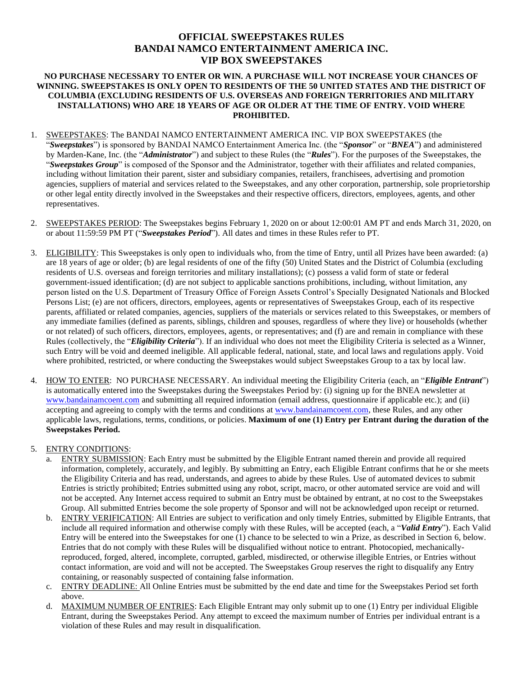# **OFFICIAL SWEEPSTAKES RULES BANDAI NAMCO ENTERTAINMENT AMERICA INC. VIP BOX SWEEPSTAKES**

### **NO PURCHASE NECESSARY TO ENTER OR WIN. A PURCHASE WILL NOT INCREASE YOUR CHANCES OF WINNING. SWEEPSTAKES IS ONLY OPEN TO RESIDENTS OF THE 50 UNITED STATES AND THE DISTRICT OF COLUMBIA (EXCLUDING RESIDENTS OF U.S. OVERSEAS AND FOREIGN TERRITORIES AND MILITARY INSTALLATIONS) WHO ARE 18 YEARS OF AGE OR OLDER AT THE TIME OF ENTRY. VOID WHERE PROHIBITED.**

- 1. SWEEPSTAKES: The BANDAI NAMCO ENTERTAINMENT AMERICA INC. VIP BOX SWEEPSTAKES (the "*Sweepstakes*") is sponsored by BANDAI NAMCO Entertainment America Inc. (the "*Sponsor*" or "*BNEA*") and administered by Marden-Kane, Inc. (the "*Administrator*") and subject to these Rules (the "*Rules*"). For the purposes of the Sweepstakes, the "*Sweepstakes Group*" is composed of the Sponsor and the Administrator, together with their affiliates and related companies, including without limitation their parent, sister and subsidiary companies, retailers, franchisees, advertising and promotion agencies, suppliers of material and services related to the Sweepstakes, and any other corporation, partnership, sole proprietorship or other legal entity directly involved in the Sweepstakes and their respective officers, directors, employees, agents, and other representatives.
- 2. SWEEPSTAKES PERIOD: The Sweepstakes begins February 1, 2020 on or about 12:00:01 AM PT and ends March 31, 2020, on or about 11:59:59 PM PT ("*Sweepstakes Period*"). All dates and times in these Rules refer to PT.
- 3. ELIGIBILITY: This Sweepstakes is only open to individuals who, from the time of Entry, until all Prizes have been awarded: (a) are 18 years of age or older; (b) are legal residents of one of the fifty (50) United States and the District of Columbia (excluding residents of U.S. overseas and foreign territories and military installations); (c) possess a valid form of state or federal government-issued identification; (d) are not subject to applicable sanctions prohibitions, including, without limitation, any person listed on the U.S. Department of Treasury Office of Foreign Assets Control's Specially Designated Nationals and Blocked Persons List; (e) are not officers, directors, employees, agents or representatives of Sweepstakes Group, each of its respective parents, affiliated or related companies, agencies, suppliers of the materials or services related to this Sweepstakes, or members of any immediate families (defined as parents, siblings, children and spouses, regardless of where they live) or households (whether or not related) of such officers, directors, employees, agents, or representatives; and (f) are and remain in compliance with these Rules (collectively, the "*Eligibility Criteria*"). If an individual who does not meet the Eligibility Criteria is selected as a Winner, such Entry will be void and deemed ineligible. All applicable federal, national, state, and local laws and regulations apply. Void where prohibited, restricted, or where conducting the Sweepstakes would subject Sweepstakes Group to a tax by local law.
- 4. HOW TO ENTER: NO PURCHASE NECESSARY. An individual meeting the Eligibility Criteria (each, an "*Eligible Entrant*") is automatically entered into the Sweepstakes during the Sweepstakes Period by: (i) signing up for the BNEA newsletter at [www.bandainamcoent.com](http://www.bandainamcoent.com/) and submitting all required information (email address, questionnaire if applicable etc.); and (ii) accepting and agreeing to comply with the terms and conditions at [www.bandainamcoent.com,](http://www.bandainamcoent.com/) these Rules, and any other applicable laws, regulations, terms, conditions, or policies. **Maximum of one (1) Entry per Entrant during the duration of the Sweepstakes Period.**

### 5. ENTRY CONDITIONS:

- a. ENTRY SUBMISSION: Each Entry must be submitted by the Eligible Entrant named therein and provide all required information, completely, accurately, and legibly. By submitting an Entry, each Eligible Entrant confirms that he or she meets the Eligibility Criteria and has read, understands, and agrees to abide by these Rules. Use of automated devices to submit Entries is strictly prohibited; Entries submitted using any robot, script, macro, or other automated service are void and will not be accepted. Any Internet access required to submit an Entry must be obtained by entrant, at no cost to the Sweepstakes Group. All submitted Entries become the sole property of Sponsor and will not be acknowledged upon receipt or returned.
- b. ENTRY VERIFICATION: All Entries are subject to verification and only timely Entries, submitted by Eligible Entrants, that include all required information and otherwise comply with these Rules, will be accepted (each, a "*Valid Entry*"). Each Valid Entry will be entered into the Sweepstakes for one (1) chance to be selected to win a Prize, as described in Section 6, below. Entries that do not comply with these Rules will be disqualified without notice to entrant. Photocopied, mechanicallyreproduced, forged, altered, incomplete, corrupted, garbled, misdirected, or otherwise illegible Entries, or Entries without contact information, are void and will not be accepted. The Sweepstakes Group reserves the right to disqualify any Entry containing, or reasonably suspected of containing false information.
- c. ENTRY DEADLINE: All Online Entries must be submitted by the end date and time for the Sweepstakes Period set forth above.
- d. MAXIMUM NUMBER OF ENTRIES: Each Eligible Entrant may only submit up to one (1) Entry per individual Eligible Entrant, during the Sweepstakes Period. Any attempt to exceed the maximum number of Entries per individual entrant is a violation of these Rules and may result in disqualification.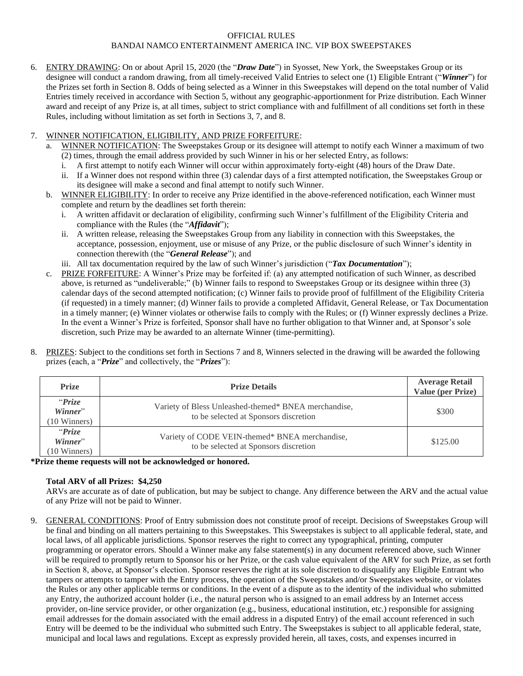### OFFICIAL RULES BANDAI NAMCO ENTERTAINMENT AMERICA INC. VIP BOX SWEEPSTAKES

6. ENTRY DRAWING: On or about April 15, 2020 (the "*Draw Date*") in Syosset, New York, the Sweepstakes Group or its designee will conduct a random drawing, from all timely-received Valid Entries to select one (1) Eligible Entrant ("*Winner*") for the Prizes set forth in Section 8. Odds of being selected as a Winner in this Sweepstakes will depend on the total number of Valid Entries timely received in accordance with Section 5, without any geographic-apportionment for Prize distribution. Each Winner award and receipt of any Prize is, at all times, subject to strict compliance with and fulfillment of all conditions set forth in these Rules, including without limitation as set forth in Sections 3, 7, and 8.

## 7. WINNER NOTIFICATION, ELIGIBILITY, AND PRIZE FORFEITURE:

- a. WINNER NOTIFICATION: The Sweepstakes Group or its designee will attempt to notify each Winner a maximum of two (2) times, through the email address provided by such Winner in his or her selected Entry, as follows:
	- i. A first attempt to notify each Winner will occur within approximately forty-eight (48) hours of the Draw Date.
	- ii. If a Winner does not respond within three (3) calendar days of a first attempted notification, the Sweepstakes Group or its designee will make a second and final attempt to notify such Winner.
- b. WINNER ELIGIBILITY: In order to receive any Prize identified in the above-referenced notification, each Winner must complete and return by the deadlines set forth therein:
	- i. A written affidavit or declaration of eligibility, confirming such Winner's fulfillment of the Eligibility Criteria and compliance with the Rules (the "*Affidavit*");
	- ii. A written release, releasing the Sweepstakes Group from any liability in connection with this Sweepstakes, the acceptance, possession, enjoyment, use or misuse of any Prize, or the public disclosure of such Winner's identity in connection therewith (the "*General Release*"); and
	- iii. All tax documentation required by the law of such Winner's jurisdiction ("*Tax Documentation*");
- c. PRIZE FORFEITURE: A Winner's Prize may be forfeited if: (a) any attempted notification of such Winner, as described above, is returned as "undeliverable;" (b) Winner fails to respond to Sweepstakes Group or its designee within three (3) calendar days of the second attempted notification; (c) Winner fails to provide proof of fulfillment of the Eligibility Criteria (if requested) in a timely manner; (d) Winner fails to provide a completed Affidavit, General Release, or Tax Documentation in a timely manner; (e) Winner violates or otherwise fails to comply with the Rules; or (f) Winner expressly declines a Prize. In the event a Winner's Prize is forfeited, Sponsor shall have no further obligation to that Winner and, at Sponsor's sole discretion, such Prize may be awarded to an alternate Winner (time-permitting).
- 8. PRIZES: Subject to the conditions set forth in Sections 7 and 8, Winners selected in the drawing will be awarded the following prizes (each, a "*Prize*" and collectively, the "*Prizes*"):

| <b>Prize</b>                                | <b>Prize Details</b>                                                                          | <b>Average Retail</b><br><b>Value (per Prize)</b> |
|---------------------------------------------|-----------------------------------------------------------------------------------------------|---------------------------------------------------|
| "Price<br>Winner"<br>(10 Winners)           | Variety of Bless Unleashed-themed* BNEA merchandise,<br>to be selected at Sponsors discretion | \$300                                             |
| "Prize<br>Winner"<br>$(10 \text{ Winners})$ | Variety of CODE VEIN-themed* BNEA merchandise,<br>to be selected at Sponsors discretion       | \$125.00                                          |

**\*Prize theme requests will not be acknowledged or honored.**

# **Total ARV of all Prizes: \$4,250**

ARVs are accurate as of date of publication, but may be subject to change. Any difference between the ARV and the actual value of any Prize will not be paid to Winner.

9. GENERAL CONDITIONS: Proof of Entry submission does not constitute proof of receipt. Decisions of Sweepstakes Group will be final and binding on all matters pertaining to this Sweepstakes. This Sweepstakes is subject to all applicable federal, state, and local laws, of all applicable jurisdictions. Sponsor reserves the right to correct any typographical, printing, computer programming or operator errors. Should a Winner make any false statement(s) in any document referenced above, such Winner will be required to promptly return to Sponsor his or her Prize, or the cash value equivalent of the ARV for such Prize, as set forth in Section 8, above, at Sponsor's election. Sponsor reserves the right at its sole discretion to disqualify any Eligible Entrant who tampers or attempts to tamper with the Entry process, the operation of the Sweepstakes and/or Sweepstakes website, or violates the Rules or any other applicable terms or conditions. In the event of a dispute as to the identity of the individual who submitted any Entry, the authorized account holder (i.e., the natural person who is assigned to an email address by an Internet access provider, on-line service provider, or other organization (e.g., business, educational institution, etc.) responsible for assigning email addresses for the domain associated with the email address in a disputed Entry) of the email account referenced in such Entry will be deemed to be the individual who submitted such Entry. The Sweepstakes is subject to all applicable federal, state, municipal and local laws and regulations. Except as expressly provided herein, all taxes, costs, and expenses incurred in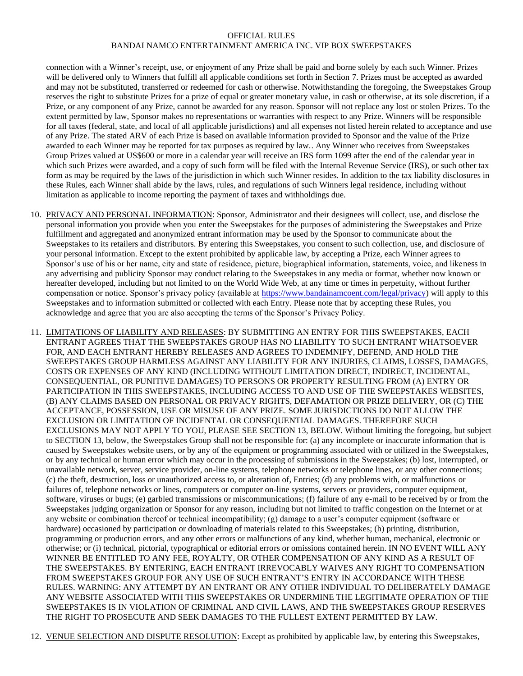#### OFFICIAL RULES BANDAI NAMCO ENTERTAINMENT AMERICA INC. VIP BOX SWEEPSTAKES

connection with a Winner's receipt, use, or enjoyment of any Prize shall be paid and borne solely by each such Winner. Prizes will be delivered only to Winners that fulfill all applicable conditions set forth in Section 7. Prizes must be accepted as awarded and may not be substituted, transferred or redeemed for cash or otherwise. Notwithstanding the foregoing, the Sweepstakes Group reserves the right to substitute Prizes for a prize of equal or greater monetary value, in cash or otherwise, at its sole discretion, if a Prize, or any component of any Prize, cannot be awarded for any reason. Sponsor will not replace any lost or stolen Prizes. To the extent permitted by law, Sponsor makes no representations or warranties with respect to any Prize. Winners will be responsible for all taxes (federal, state, and local of all applicable jurisdictions) and all expenses not listed herein related to acceptance and use of any Prize. The stated ARV of each Prize is based on available information provided to Sponsor and the value of the Prize awarded to each Winner may be reported for tax purposes as required by law.. Any Winner who receives from Sweepstakes Group Prizes valued at US\$600 or more in a calendar year will receive an IRS form 1099 after the end of the calendar year in which such Prizes were awarded, and a copy of such form will be filed with the Internal Revenue Service (IRS), or such other tax form as may be required by the laws of the jurisdiction in which such Winner resides. In addition to the tax liability disclosures in these Rules, each Winner shall abide by the laws, rules, and regulations of such Winners legal residence, including without limitation as applicable to income reporting the payment of taxes and withholdings due.

- 10. PRIVACY AND PERSONAL INFORMATION: Sponsor, Administrator and their designees will collect, use, and disclose the personal information you provide when you enter the Sweepstakes for the purposes of administering the Sweepstakes and Prize fulfillment and aggregated and anonymized entrant information may be used by the Sponsor to communicate about the Sweepstakes to its retailers and distributors. By entering this Sweepstakes, you consent to such collection, use, and disclosure of your personal information. Except to the extent prohibited by applicable law, by accepting a Prize, each Winner agrees to Sponsor's use of his or her name, city and state of residence, picture, biographical information, statements, voice, and likeness in any advertising and publicity Sponsor may conduct relating to the Sweepstakes in any media or format, whether now known or hereafter developed, including but not limited to on the World Wide Web, at any time or times in perpetuity, without further compensation or notice. Sponsor's privacy policy (available at [https://www.bandainamcoent.com/legal/privacy\)](https://www.bandainamcoent.com/legal/privacy) will apply to this Sweepstakes and to information submitted or collected with each Entry. Please note that by accepting these Rules, you acknowledge and agree that you are also accepting the terms of the Sponsor's Privacy Policy.
- 11. LIMITATIONS OF LIABILITY AND RELEASES: BY SUBMITTING AN ENTRY FOR THIS SWEEPSTAKES, EACH ENTRANT AGREES THAT THE SWEEPSTAKES GROUP HAS NO LIABILITY TO SUCH ENTRANT WHATSOEVER FOR, AND EACH ENTRANT HEREBY RELEASES AND AGREES TO INDEMNIFY, DEFEND, AND HOLD THE SWEEPSTAKES GROUP HARMLESS AGAINST ANY LIABILITY FOR ANY INJURIES, CLAIMS, LOSSES, DAMAGES, COSTS OR EXPENSES OF ANY KIND (INCLUDING WITHOUT LIMITATION DIRECT, INDIRECT, INCIDENTAL, CONSEQUENTIAL, OR PUNITIVE DAMAGES) TO PERSONS OR PROPERTY RESULTING FROM (A) ENTRY OR PARTICIPATION IN THIS SWEEPSTAKES, INCLUDING ACCESS TO AND USE OF THE SWEEPSTAKES WEBSITES, (B) ANY CLAIMS BASED ON PERSONAL OR PRIVACY RIGHTS, DEFAMATION OR PRIZE DELIVERY, OR (C) THE ACCEPTANCE, POSSESSION, USE OR MISUSE OF ANY PRIZE. SOME JURISDICTIONS DO NOT ALLOW THE EXCLUSION OR LIMITATION OF INCIDENTAL OR CONSEQUENTIAL DAMAGES. THEREFORE SUCH EXCLUSIONS MAY NOT APPLY TO YOU, PLEASE SEE SECTION 13, BELOW. Without limiting the foregoing, but subject to SECTION 13, below, the Sweepstakes Group shall not be responsible for: (a) any incomplete or inaccurate information that is caused by Sweepstakes website users, or by any of the equipment or programming associated with or utilized in the Sweepstakes, or by any technical or human error which may occur in the processing of submissions in the Sweepstakes; (b) lost, interrupted, or unavailable network, server, service provider, on-line systems, telephone networks or telephone lines, or any other connections; (c) the theft, destruction, loss or unauthorized access to, or alteration of, Entries; (d) any problems with, or malfunctions or failures of, telephone networks or lines, computers or computer on-line systems, servers or providers, computer equipment, software, viruses or bugs; (e) garbled transmissions or miscommunications; (f) failure of any e-mail to be received by or from the Sweepstakes judging organization or Sponsor for any reason, including but not limited to traffic congestion on the Internet or at any website or combination thereof or technical incompatibility; (g) damage to a user's computer equipment (software or hardware) occasioned by participation or downloading of materials related to this Sweepstakes; (h) printing, distribution, programming or production errors, and any other errors or malfunctions of any kind, whether human, mechanical, electronic or otherwise; or (i) technical, pictorial, typographical or editorial errors or omissions contained herein. IN NO EVENT WILL ANY WINNER BE ENTITLED TO ANY FEE, ROYALTY, OR OTHER COMPENSATION OF ANY KIND AS A RESULT OF THE SWEEPSTAKES. BY ENTERING, EACH ENTRANT IRREVOCABLY WAIVES ANY RIGHT TO COMPENSATION FROM SWEEPSTAKES GROUP FOR ANY USE OF SUCH ENTRANT'S ENTRY IN ACCORDANCE WITH THESE RULES. WARNING: ANY ATTEMPT BY AN ENTRANT OR ANY OTHER INDIVIDUAL TO DELIBERATELY DAMAGE ANY WEBSITE ASSOCIATED WITH THIS SWEEPSTAKES OR UNDERMINE THE LEGITIMATE OPERATION OF THE SWEEPSTAKES IS IN VIOLATION OF CRIMINAL AND CIVIL LAWS, AND THE SWEEPSTAKES GROUP RESERVES THE RIGHT TO PROSECUTE AND SEEK DAMAGES TO THE FULLEST EXTENT PERMITTED BY LAW.

12. VENUE SELECTION AND DISPUTE RESOLUTION: Except as prohibited by applicable law, by entering this Sweepstakes,